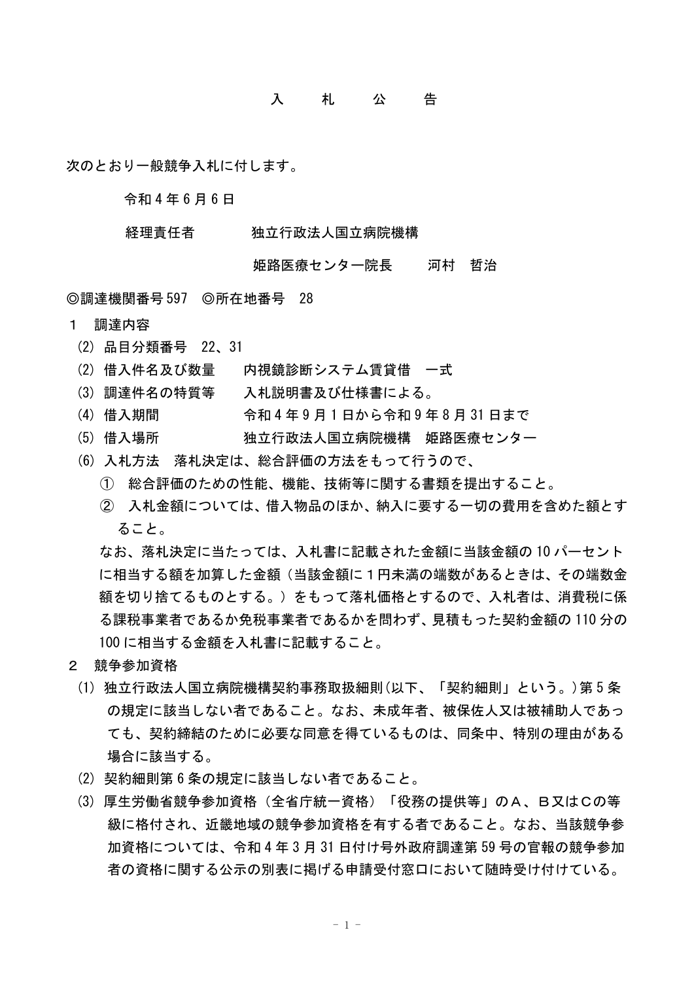## 入 札 公 告

次のとおり一般競争入札に付します。

令和 4 年 6 月 6 日

## 経理責任者 独立行政法人国立病院機構

## 姫路医療センター院長 河村 哲治

◎調達機関番号 597 ◎所在地番号 28

- 1 調達内容
	- (2) 品目分類番号 22、31
	- (2) 借入件名及び数量 内視鏡診断システム賃貸借 一式
	- (3) 調達件名の特質等 入札説明書及び仕様書による。
	- (4) 借入期間 令和 4 年 9 月 1 日から令和 9 年 8 月 31 日まで
	- (5) 借入場所 れいわれんだ行政法人国立病院機構 姫路医療センター
	- (6) 入札方法 落札決定は、総合評価の方法をもって行うので、
		- ① 総合評価のための性能、機能、技術等に関する書類を提出すること。
		- ② 入札金額については、借入物品のほか、納入に要する一切の費用を含めた額とす ること。

なお、落札決定に当たっては、入札書に記載された金額に当該金額の 10 パーセント に相当する額を加算した金額(当該金額に1円未満の端数があるときは、その端数金 額を切り捨てるものとする。)をもって落札価格とするので、入札者は、消費税に係 る課税事業者であるか免税事業者であるかを問わず、見積もった契約金額の 110 分の 100 に相当する金額を入札書に記載すること。

- 2 競争参加資格
	- (1) 独立行政法人国立病院機構契約事務取扱細則(以下、「契約細則」という。)第 5 条 の規定に該当しない者であること。なお、未成年者、被保佐人又は被補助人であっ ても、契約締結のために必要な同意を得ているものは、同条中、特別の理由がある 場合に該当する。
	- (2) 契約細則第 6 条の規定に該当しない者であること。
	- (3) 厚生労働省競争参加資格(全省庁統一資格)「役務の提供等」のA、B又はCの等 級に格付され、近畿地域の競争参加資格を有する者であること。なお、当該競争参 加資格については、令和 4 年 3 月 31 日付け号外政府調達第 59 号の官報の競争参加 者の資格に関する公示の別表に掲げる申請受付窓口において随時受け付けている。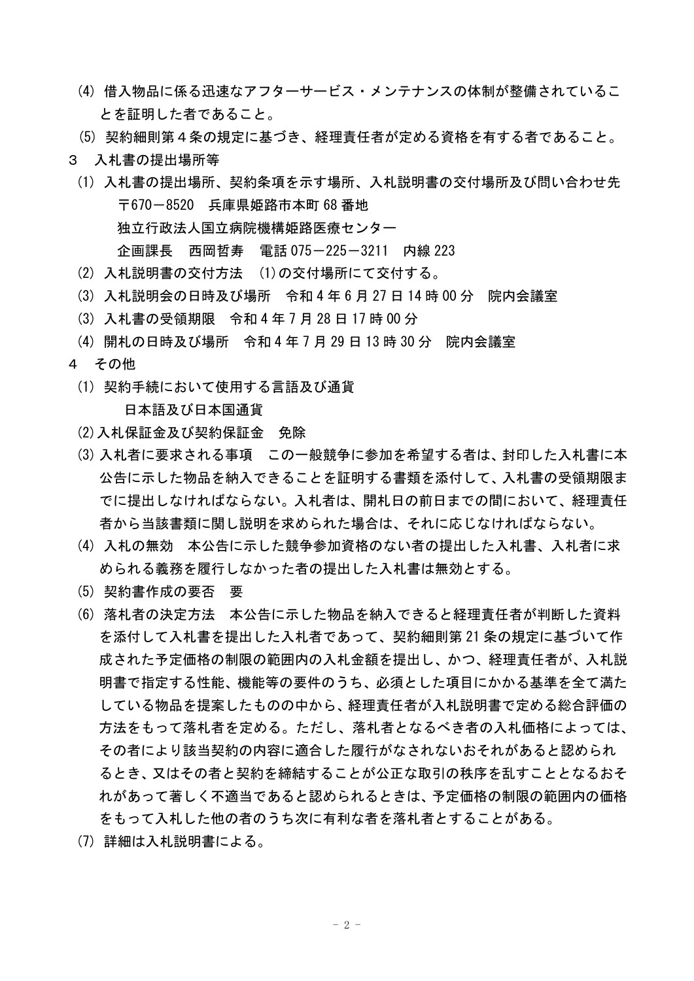- (4) 借入物品に係る迅速なアフターサービス・メンテナンスの体制が整備されているこ とを証明した者であること。
- (5) 契約細則第4条の規定に基づき、経理責任者が定める資格を有する者であること。
- 3 入札書の提出場所等
	- (1) 入札書の提出場所、契約条項を示す場所、入札説明書の交付場所及び問い合わせ先 〒670-8520 兵庫県姫路市本町 68 番地 独立行政法人国立病院機構姫路医療センター 企画課長 西岡哲寿 電話 075-225-3211 内線 223
	- (2) 入札説明書の交付方法 (1)の交付場所にて交付する。
	- (3) 入札説明会の日時及び場所 令和 4 年 6 月 27 日 14 時 00 分 院内会議室
	- (3) 入札書の受領期限 令和 4 年 7 月 28 日 17 時 00 分
	- (4) 開札の日時及び場所 令和 4 年 7 月 29 日 13 時 30 分 院内会議室
- 4 その他
	- (1) 契約手続において使用する言語及び通貨

日本語及び日本国通貨

- (2)入札保証金及び契約保証金 免除
- (3) 入札者に要求される事項 この一般競争に参加を希望する者は、封印した入札書に本 公告に示した物品を納入できることを証明する書類を添付して、入札書の受領期限ま でに提出しなければならない。入札者は、開札日の前日までの間において、経理責任 者から当該書類に関し説明を求められた場合は、それに応じなければならない。
- (4) 入札の無効 本公告に示した競争参加資格のない者の提出した入札書、入札者に求 められる義務を履行しなかった者の提出した入札書は無効とする。
- (5) 契約書作成の要否 要
- (6) 落札者の決定方法 本公告に示した物品を納入できると経理責任者が判断した資料 を添付して入札書を提出した入札者であって、契約細則第 21 条の規定に基づいて作 成された予定価格の制限の範囲内の入札金額を提出し、かつ、経理責任者が、入札説 明書で指定する性能、機能等の要件のうち、必須とした項目にかかる基準を全て満た している物品を提案したものの中から、経理責任者が入札説明書で定める総合評価の 方法をもって落札者を定める。ただし、落札者となるべき者の入札価格によっては、 その者により該当契約の内容に適合した履行がなされないおそれがあると認められ るとき、又はその者と契約を締結することが公正な取引の秩序を乱すこととなるおそ れがあって著しく不適当であると認められるときは、予定価格の制限の範囲内の価格 をもって入札した他の者のうち次に有利な者を落札者とすることがある。
- (7) 詳細は入札説明書による。